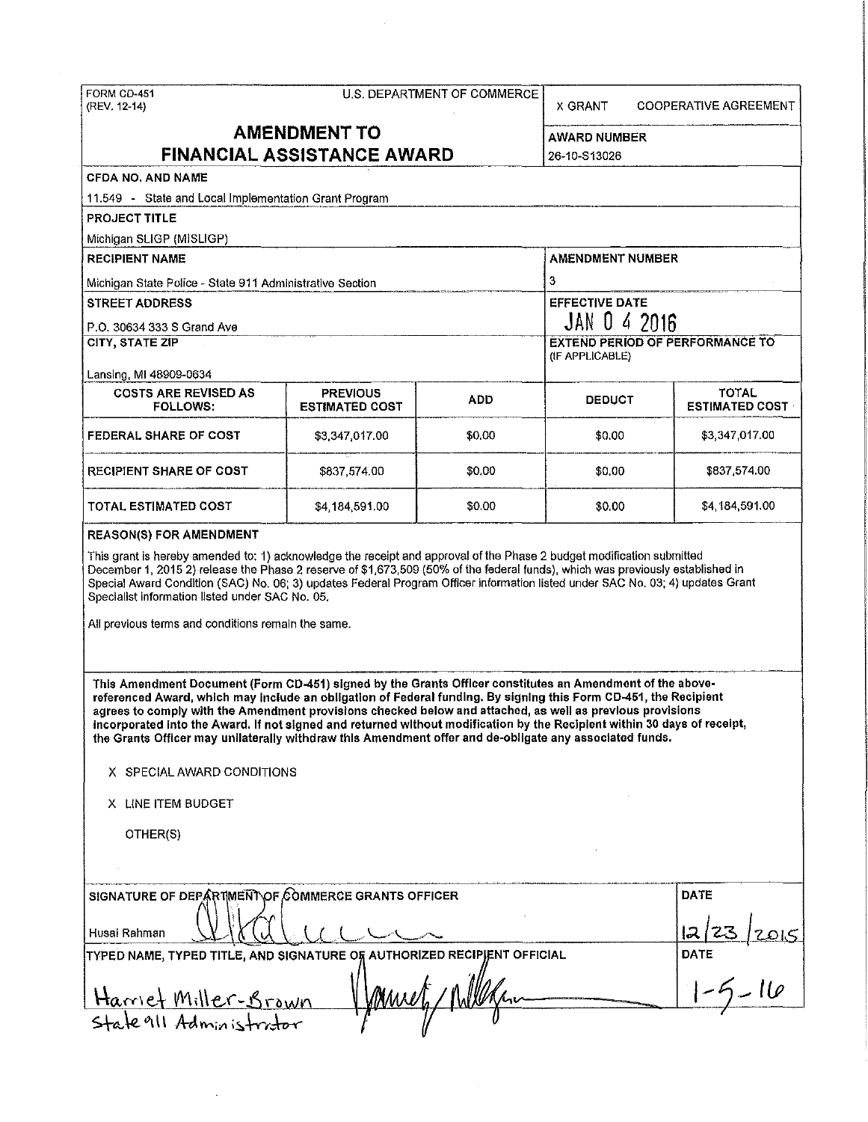| (REV. 12-14)                                                                                                                                                                                                                                                                                                                                                                                                                                                                                                                                                                                                    |                           | U.S. DEPARTMENT OF COMMERCE                               | X GRANT                             | <b>COOPERATIVE AGREEMENT</b> |  |  |  |
|-----------------------------------------------------------------------------------------------------------------------------------------------------------------------------------------------------------------------------------------------------------------------------------------------------------------------------------------------------------------------------------------------------------------------------------------------------------------------------------------------------------------------------------------------------------------------------------------------------------------|---------------------------|-----------------------------------------------------------|-------------------------------------|------------------------------|--|--|--|
| <b>AMENDMENT TO</b><br><b>FINANCIAL ASSISTANCE AWARD</b>                                                                                                                                                                                                                                                                                                                                                                                                                                                                                                                                                        |                           |                                                           | <b>AWARD NUMBER</b><br>26-10-S13026 |                              |  |  |  |
| <b>CFDA NO. AND NAME</b>                                                                                                                                                                                                                                                                                                                                                                                                                                                                                                                                                                                        |                           |                                                           |                                     |                              |  |  |  |
| 11.549 - State and Local Implementation Grant Program                                                                                                                                                                                                                                                                                                                                                                                                                                                                                                                                                           |                           |                                                           |                                     |                              |  |  |  |
| <b>PROJECT TITLE</b>                                                                                                                                                                                                                                                                                                                                                                                                                                                                                                                                                                                            |                           |                                                           |                                     |                              |  |  |  |
| Michigan SLIGP (MISLIGP)                                                                                                                                                                                                                                                                                                                                                                                                                                                                                                                                                                                        |                           |                                                           |                                     |                              |  |  |  |
| <b>RECIPIENT NAME</b>                                                                                                                                                                                                                                                                                                                                                                                                                                                                                                                                                                                           |                           |                                                           | <b>AMENDMENT NUMBER</b>             |                              |  |  |  |
| Michigan State Police - State 911 Administrative Section                                                                                                                                                                                                                                                                                                                                                                                                                                                                                                                                                        |                           |                                                           | 3                                   |                              |  |  |  |
| <b>STREET ADDRESS</b>                                                                                                                                                                                                                                                                                                                                                                                                                                                                                                                                                                                           |                           |                                                           | <b>EFFECTIVE DATE</b>               |                              |  |  |  |
| P.O. 30634 333 S Grand Ave                                                                                                                                                                                                                                                                                                                                                                                                                                                                                                                                                                                      |                           |                                                           | JAN 0 4 2016                        |                              |  |  |  |
| <b>CITY, STATE ZIP</b>                                                                                                                                                                                                                                                                                                                                                                                                                                                                                                                                                                                          |                           | <b>EXTEND PERIOD OF PERFORMANCE TO</b><br>(IF APPLICABLE) |                                     |                              |  |  |  |
| Lansing, MI 48909-0634<br><b>COSTS ARE REVISED AS</b>                                                                                                                                                                                                                                                                                                                                                                                                                                                                                                                                                           | <b>PREVIOUS</b>           |                                                           |                                     | <b>TOTAL</b>                 |  |  |  |
| <b>FOLLOWS:</b>                                                                                                                                                                                                                                                                                                                                                                                                                                                                                                                                                                                                 | <b>ESTIMATED COST</b>     | ADD.                                                      | <b>DEDUCT</b>                       | <b>ESTIMATED COST</b>        |  |  |  |
| <b>FEDERAL SHARE OF COST</b>                                                                                                                                                                                                                                                                                                                                                                                                                                                                                                                                                                                    | \$3,347,017.00            | \$0.00                                                    | \$0.00                              | \$3,347,017.00               |  |  |  |
| <b>RECIPIENT SHARE OF COST</b>                                                                                                                                                                                                                                                                                                                                                                                                                                                                                                                                                                                  | \$837,574.00              | \$0.00                                                    | \$0.00                              | \$837,574.00                 |  |  |  |
| TOTAL ESTIMATED COST                                                                                                                                                                                                                                                                                                                                                                                                                                                                                                                                                                                            | \$4,184,591.00            | \$0.00                                                    | \$0.00                              | \$4,184,591,00               |  |  |  |
| Special Award Condition (SAC) No. 06; 3) updates Federal Program Officer information listed under SAC No. 03; 4) updates Grant<br>Specialist information listed under SAC No. 05.<br>All previous terms and conditions remain the same.                                                                                                                                                                                                                                                                                                                                                                         |                           |                                                           |                                     |                              |  |  |  |
| This Amendment Document (Form CD-451) signed by the Grants Officer constitutes an Amendment of the above-<br>referenced Award, which may include an obligation of Federal funding. By signing this Form CD-451, the Recipient<br>agrees to comply with the Amendment provisions checked below and attached, as well as previous provisions<br>incorporated into the Award. If not signed and returned without modification by the Recipient within 30 days of receipt,<br>the Grants Officer may unilaterally withdraw this Amendment offer and de-obligate any associated funds.<br>X SPECIAL AWARD CONDITIONS |                           |                                                           |                                     |                              |  |  |  |
| X LINE ITEM BUDGET                                                                                                                                                                                                                                                                                                                                                                                                                                                                                                                                                                                              |                           |                                                           |                                     |                              |  |  |  |
| OTHER(S)                                                                                                                                                                                                                                                                                                                                                                                                                                                                                                                                                                                                        |                           |                                                           |                                     |                              |  |  |  |
|                                                                                                                                                                                                                                                                                                                                                                                                                                                                                                                                                                                                                 |                           |                                                           |                                     |                              |  |  |  |
| SIGNATURE OF DEPARTMENT OF COMMERCE GRANTS OFFICER<br>Husai Rahman                                                                                                                                                                                                                                                                                                                                                                                                                                                                                                                                              | <b>DATE</b><br>lә<br>DATE |                                                           |                                     |                              |  |  |  |
| TYPED NAME, TYPED TITLE, AND SIGNATURE OF AUTHORIZED RECIPIENT OFFICIAL<br><u>Hamet Miller-Brown</u><br>Mwe<br>Stale 911 Administrator                                                                                                                                                                                                                                                                                                                                                                                                                                                                          |                           |                                                           |                                     |                              |  |  |  |

 $\sim 40\%$ 

 $\label{eq:2} \frac{1}{\sqrt{2}}\int_{0}^{\infty}\frac{1}{\sqrt{2\pi}}\left(\frac{1}{\sqrt{2}}\right)^{2}d\mu_{\rm{eff}}\,.$